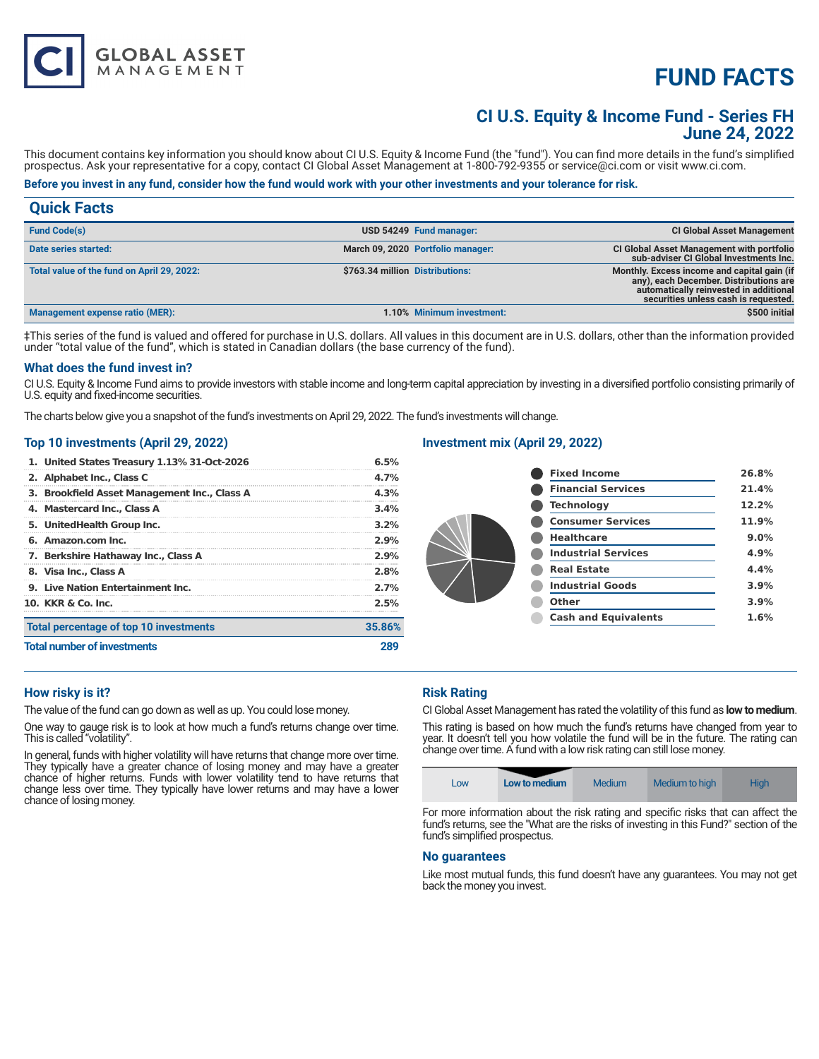# **FUND FACTS**

# **CI U.S. Equity & Income Fund - Series FH June 24, 2022**

This document contains key information you should know about CI U.S. Equity & Income Fund (the "fund"). You can find more details in the fund's simplified prospectus. Ask your representative for a copy, contact CI Global Asset Management at 1-800-792-9355 or service@ci.com or visit www.ci.com.

# **Before you invest in any fund, consider how the fund would work with your other investments and your tolerance for risk.**

| <b>Quick Facts</b>                         |                                 |                                   |                                                                                                                                                                         |
|--------------------------------------------|---------------------------------|-----------------------------------|-------------------------------------------------------------------------------------------------------------------------------------------------------------------------|
| <b>Fund Code(s)</b>                        |                                 | USD 54249 Fund manager:           | <b>CI Global Asset Management</b>                                                                                                                                       |
| Date series started:                       |                                 | March 09, 2020 Portfolio manager: | <b>CI Global Asset Management with portfolio</b><br>sub-adviser CI Global Investments Inc.                                                                              |
| Total value of the fund on April 29, 2022: | \$763.34 million Distributions: |                                   | Monthly. Excess income and capital gain (if<br>any), each December. Distributions are<br>automatically reinvested in additional<br>securities unless cash is requested. |
| Management expense ratio (MER):            |                                 | 1.10% Minimum investment:         | \$500 initial                                                                                                                                                           |

‡This series of the fund is valued and offered for purchase in U.S. dollars. All values in this document are in U.S. dollars, other than the information provided under "total value of the fund", which is stated in Canadian dollars (the base currency of the fund).

### **What does the fund invest in?**

CI U.S. Equity & Income Fund aims to provide investors with stable income and long-term capital appreciation by investing in a diversified portfolio consisting primarily of U.S. equity and fixed-income securities.

The charts below give you a snapshot of the fund's investments on April 29, 2022. The fund's investments will change.

#### **Top 10 investments (April 29, 2022)**

**GLOBAL ASSET**<br>MANAGEMENT

| 1. United States Treasury 1.13% 31-Oct-2026  | 6.5%    |
|----------------------------------------------|---------|
| 2. Alphabet Inc., Class C                    | 4.7%    |
| 3. Brookfield Asset Management Inc., Class A | 4.3%    |
| 4. Mastercard Inc., Class A                  | 3.4%    |
| 5. UnitedHealth Group Inc.                   | $3.2\%$ |
| 6. Amazon.com Inc.                           | 2.9%    |
| 7. Berkshire Hathaway Inc., Class A          | 2.9%    |
| 8. Visa Inc., Class A                        | 2.8%    |
| 9. Live Nation Entertainment Inc.            | 2.7%    |
| 10. KKR & Co. Inc.                           | 2.5%    |
| Total percentage of top 10 investments       | 35.86%  |
| <b>Total number of investments</b>           |         |

## **Investment mix (April 29, 2022)**

| <b>Fixed Income</b>         | 26.8%   |
|-----------------------------|---------|
| <b>Financial Services</b>   | 21.4%   |
| <b>Technology</b>           | 12.2%   |
| <b>Consumer Services</b>    | 11.9%   |
| <b>Healthcare</b>           | $9.0\%$ |
| <b>Industrial Services</b>  | 4.9%    |
| <b>Real Estate</b>          | 4.4%    |
| <b>Industrial Goods</b>     | 3.9%    |
| Other                       | 3.9%    |
| <b>Cash and Equivalents</b> | 1.6%    |
|                             |         |

#### **How risky is it?**

The value of the fund can go down as well as up. You could lose money.

One way to gauge risk is to look at how much a fund's returns change over time. This is called "volatility".

In general, funds with higher volatility will have returns that change more over time. They typically have a greater chance of losing money and may have a greater chance of higher returns. Funds with lower volatility tend to have returns that change less over time. They typically have lower returns and may have a lower chance of losing money.

#### **Risk Rating**

CI Global Asset Management has rated the volatility of this fund as **low to medium**.

This rating is based on how much the fund's returns have changed from year to year. It doesn't tell you how volatile the fund will be in the future. The rating can change over time. A fund with a low risk rating can still lose money.

| Low to medium<br>Medium<br>Medium to high<br><b>High</b><br>LOW |
|-----------------------------------------------------------------|
|-----------------------------------------------------------------|

For more information about the risk rating and specific risks that can affect the fund's returns, see the "What are the risks of investing in this Fund?" section of the fund's simplified prospectus.

#### **No guarantees**

Like most mutual funds, this fund doesn't have any guarantees. You may not get back the money you invest.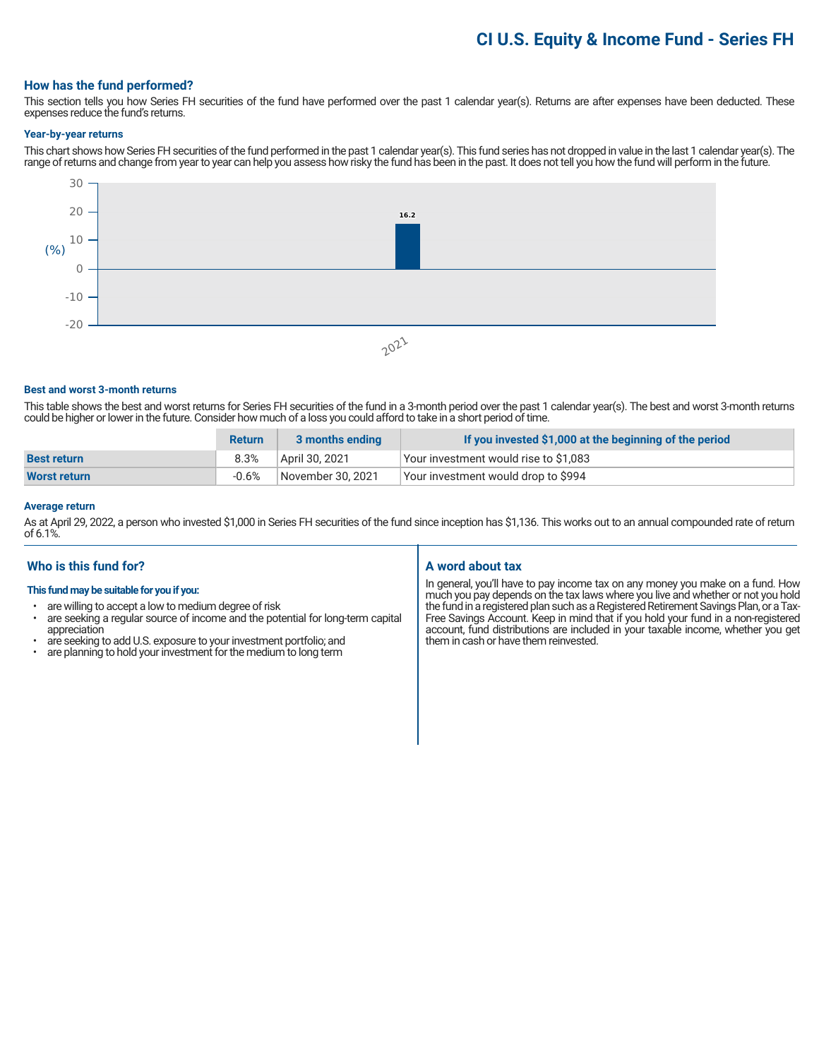# **CI U.S. Equity & Income Fund - Series FH**

### **How has the fund performed?**

This section tells you how Series FH securities of the fund have performed over the past 1 calendar year(s). Returns are after expenses have been deducted. These expenses reduce the fund's returns.

#### **Year-by-year returns**

This chart shows how Series FH securities of the fund performed in the past 1 calendar year(s). This fund series has not dropped in value in the last 1 calendar year(s). The range of returns and change from year to year can help you assess how risky the fund has been in the past. It does not tell you how the fund will perform in the future.



#### **Best and worst 3-month returns**

This table shows the best and worst returns for Series FH securities of the fund in a 3-month period over the past 1 calendar year(s). The best and worst 3-month returns could be higher or lower in the future. Consider how much of a loss you could afford to take in a short period of time.

|                    | <b>Return</b> | 3 months ending   | If you invested \$1,000 at the beginning of the period |
|--------------------|---------------|-------------------|--------------------------------------------------------|
| <b>Best return</b> | $8.3\%$       | April 30, 2021    | Your investment would rise to \$1,083                  |
| Worst return       | $-0.6%$       | November 30, 2021 | Your investment would drop to \$994                    |

## **Average return**

As at April 29, 2022, a person who invested \$1,000 in Series FH securities of the fund since inception has \$1,136. This works out to an annual compounded rate of return of 6.1%.

# **Who is this fund for?**

#### **This fund may be suitable for you if you:**

- are willing to accept a low to medium degree of risk
- are seeking a regular source of income and the potential for long-term capital appreciation
- are seeking to add U.S. exposure to your investment portfolio; and<br>• are planning to hold your investment for the medium to long term
- are planning to hold your investment for the medium to long term

# **A word about tax**

In general, you'll have to pay income tax on any money you make on a fund. How much you pay depends on the tax laws where you live and whether or not you hold the fund in a registered plan such as a Registered Retirement Savings Plan, or a Tax-Free Savings Account. Keep in mind that if you hold your fund in a non-registered account, fund distributions are included in your taxable income, whether you get them in cash or have them reinvested.